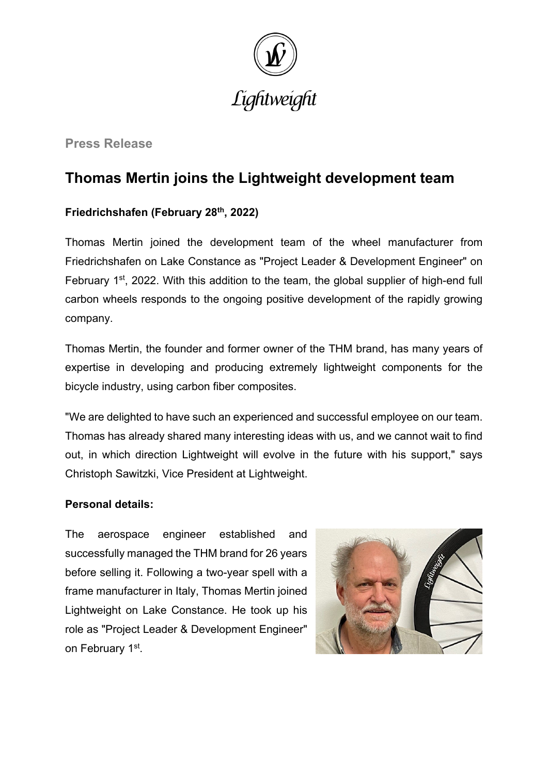

**Press Release**

# **Thomas Mertin joins the Lightweight development team**

## **Friedrichshafen (February 28th, 2022)**

Thomas Mertin joined the development team of the wheel manufacturer from Friedrichshafen on Lake Constance as "Project Leader & Development Engineer" on February  $1<sup>st</sup>$ , 2022. With this addition to the team, the global supplier of high-end full carbon wheels responds to the ongoing positive development of the rapidly growing company.

Thomas Mertin, the founder and former owner of the THM brand, has many years of expertise in developing and producing extremely lightweight components for the bicycle industry, using carbon fiber composites.

"We are delighted to have such an experienced and successful employee on our team. Thomas has already shared many interesting ideas with us, and we cannot wait to find out, in which direction Lightweight will evolve in the future with his support," says Christoph Sawitzki, Vice President at Lightweight.

### **Personal details:**

The aerospace engineer established and successfully managed the THM brand for 26 years before selling it. Following a two-year spell with a frame manufacturer in Italy, Thomas Mertin joined Lightweight on Lake Constance. He took up his role as "Project Leader & Development Engineer" on February 1st.